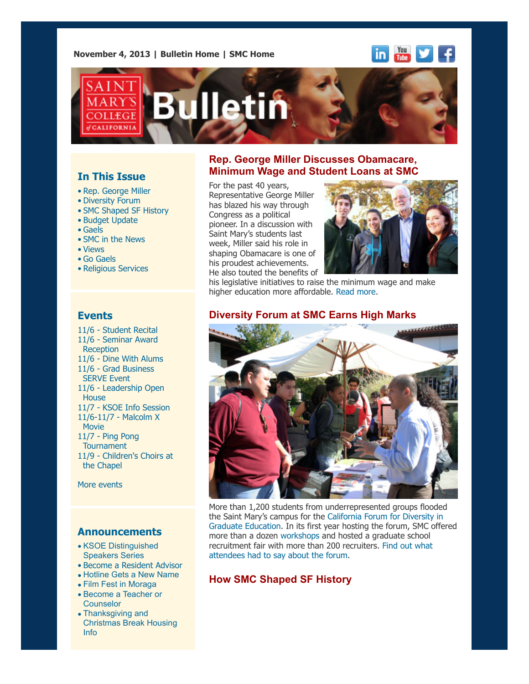**November 4, 2013 | [Bulletin Home](http://www.stmarys-ca.edu/smc-bulletin?utm_source=Bulletin&utm_medium=email&utm_campaign=11-04-2013) | [SMC Home](http://www.stmarys-ca.edu/?utm_source=Bulletin&utm_medium=email&utm_campaign=09-30-2013)**





# **In This Issue**

- [•](file:///Users/smallalieu/Documents/StMarys/Bulletin/Bulletin%2011_04_13/Bulletin_11_04_13_SENT.html#09_30_13_studentslearn) Rep. George Miller
- Diversity Forum
- SMC Shaped SF History
- Budget Update
- Gaels
- SMC in the News
- Views
- Go Gaels
- Religious Services

## **Events**

11/6 - [Student Recital](http://www.stmarys-ca.edu/student-recital-series-1?utm_source=Bulletin&utm_medium=email&utm_campaign=11_04_2013+Bulletin) [11/6 - Seminar Award](http://www.stmarys-ca.edu/collegiate-seminar-desales-perez-award-reception?utm_source=Bulletin&utm_medium=email&utm_campaign=11-04-2013) **Reception** 11/6 - [Dine With Alums](http://www.stmarys-ca.edu/dine-with-alums-2?utm_source=Bulletin&utm_medium=email&utm_campaign=11-04-2013) [11/6 - Grad Business](http://www.stmarys-ca.edu/serve-with-graduate-business-at-contra-costa-food-bank-1?utm_source=Bulletin&utm_medium=email&utm_campaign=11-04-2013) SERVE Event [11/6 - Leadership Open](http://www.stmarys-ca.edu/leadership-studies-open-house-16?utm_source=Bulletin&utm_medium=email&utm_campaign=11-04-2013) House 11/7 - [KSOE Info Session](http://www.stmarys-ca.edu/kalmanovitz-school-of-education-information-session-for-prospective-students-12?utm_source=Bulletin&utm_medium=email&utm_campaign=11-04-2013) [11/6-11/7 - Malcolm X](http://www.stmarys-ca.edu/malcolm-x-the-movie?utm_source=Bulletin&utm_medium=email&utm_campaign=11-04-2013) Movie [11/7 - Ping Pong](http://www.stmarys-ca.edu/out-of-the-blue-ping-pong-tournament?utm_source=Bulletin&utm_medium=email&utm_campaign=11-04-2013) **Tournament** [11/9 - Children's Choirs at](http://www.stmarys-ca.edu/laudate-pueri-let-the-children-praise-him?utm_source=Bulletin&utm_medium=email&utm_campaign=11-04-2013) the Chapel

[More events](http://www.stmarys-ca.edu/calendar/63?utm_source=Bulletin&utm_medium=email&utm_campaign=11-04-2013)

### **Announcements**

- [•](file:///Users/smallalieu/Documents/StMarys/Bulletin/Bulletin%2011_04_13/Bulletin_11_04_13_SENT.html#09_30_13_studentslearn) [KSOE Distinguished](http://www.stmarys-ca.edu/distinguished-speakers-series-saturday-seminars?utm_source=Bulletin&utm_medium=email&utm_campaign=11-04-2013) Speakers Series
- [Become a Resident Advisor](http://www.stmarys-ca.edu/become-a-saint-marys-resident-advisor?utm_source=Bulletin&utm_medium=email&utm_campaign=11-04-2013)
- [Hotline Gets a New Name](http://www.stmarys-ca.edu/new-name-for-the-24-hour-anonymous-hotline-0?utm_source=Bulletin&utm_medium=email&utm_campaign=11-04-2013)
- [Film Fest in Moraga](http://www.stmarys-ca.edu/independent-film-fest-comes-to-moraga?utm_source=Bulletin&utm_medium=email&utm_campaign=11-04-2013)
- [Become a Teacher or](http://www.stmarys-ca.edu/become-a-teacher-or-counselor?utm_source=Bulletin&utm_medium=email&utm_campaign=11-04-2013) **Counselor**
- Thanksgiving and [Christmas Break Housing](http://www.stmarys-ca.edu/thanksgiving-and-christmas-break-information-from-the-campus-housing-office?utm_source=Bulletin&utm_medium=email&utm_campaign=11-04-2013) Info

### **Rep. George Miller Discusses Obamacare, Minimum Wage and Student Loans at SMC**

For the past 40 years, Representative George Miller has blazed his way through Congress as a political pioneer. In a discussion with Saint Mary's students last week, Miller said his role in shaping Obamacare is one of his proudest achievements. He also touted the benefits of



his legislative initiatives to raise the minimum wage and make higher education more affordable. [Read more.](http://www.stmarys-ca.edu/congressman-miller-brings-passion-for-education-health-care-labor-rights-to-smc?utm_source=Bulletin&utm_medium=email&utm_campaign=11-04-13)

### **Diversity Forum at SMC Earns High Marks**



More than 1,200 students from underrepresented groups flooded [the Saint Mary's campus for the California Forum for Diversity in](http://www.ucop.edu/forum-for-diversity/recruiters/index.html) Graduate Education. In its first year hosting the forum, SMC offered more than a dozen [workshops](http://www.stmarys-ca.edu/graduate-and-professional-studies/news-and-events/california-forum-for-diversity-in-graduate?utm_source=Bulletin&utm_medium=email&utm_campaign=11-04-2013) and hosted a graduate school [recruitment fair with more than 200 recruiters. Find out what](http://www.stmarys-ca.edu/saint-marys-college-hosts-prestigious-forum-on-diversity-in-graduate-education?utm_source=Bulletin&utm_medium=email&utm_campaign=09-24-2013) attendees had to say about the forum.

### **How SMC Shaped SF History**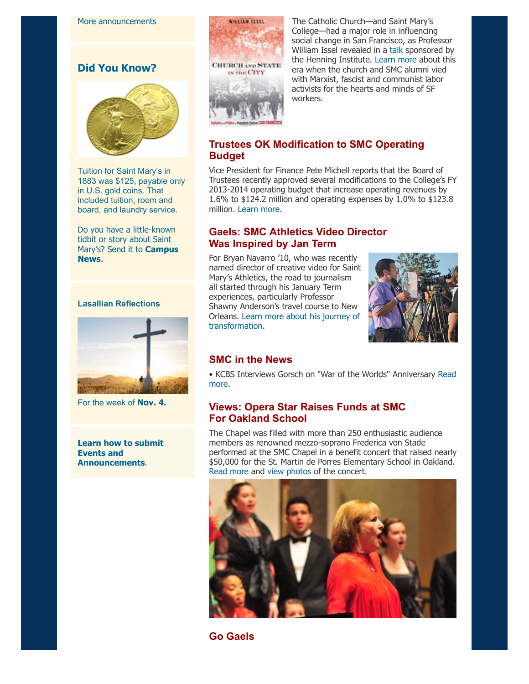**Did You Know?**



Tuition for Saint Mary's in 1883 was \$125, payable only in U.S. gold coins. That included tuition, room and board, and laundry service.

Do you have a little-known tidbit or story about Saint [Mary's? Send it to](mailto:news@stmarys-ca.edu) **Campus News**.

#### **Lasallian Reflections**



For the week of **[Nov. 4.](http://www.stmarys-ca.edu/living-lasallian/lasallian-reflections?utm_source=Bulletin&utm_medium=email&utm_campaign=11-04-2013)**

**[Learn how to submit](http://www.stmarys-ca.edu/smc-bulletin/faqs?utm_source=Bulletin&utm_medium=email&utm_campaign=11-04-2013) Events and Announcements**.



The Catholic Church—and Saint Mary's College—had a major role in influencing social change in San Francisco, as Professor William Issel revealed in a [talk](http://www.stmarys-ca.edu/how-the-catholic-church-shaped-20th-century-san-francisco?utm_source=Bulletin&utm_medium=email&utm_campaign=11_04_2013+Bulletin) sponsored by the Henning Institute. [Learn more](http://www.stmarys-ca.edu/great-books-to-great-works?utm_source=Bulletin&utm_medium=email&utm_campaign=11_04_2013+Bulletin) about this era when the church and SMC alumni vied with Marxist, fascist and communist labor activists for the hearts and minds of SF workers.

## **Trustees OK Modification to SMC Operating Budget**

Vice President for Finance Pete Michell reports that the Board of Trustees recently approved several modifications to the College's FY 2013-2014 operating budget that increase operating revenues by 1.6% to \$124.2 million and operating expenses by 1.0% to \$123.8 million. [Learn more.](http://www.stmarys-ca.edu/sites/default/files/attachments/files/FY%202013-2014%20Op.%20Budget%20Update%2010.18.2013.pdf?utm_source=Bulletin&utm_medium=email&utm_campaign=11_04_2013+Bulletin)

## **Gaels: SMC Athletics Video Director Was Inspired by Jan Term**

For Bryan Navarro '10, who was recently named director of creative video for Saint Mary's Athletics, the road to journalism all started through his January Term experiences, particularly Professor Shawny Anderson's travel course to New Orleans. [Learn more about his journey of](http://www.stmarys-ca.edu/smc-athletics-video-director-inspired-by-jan-term-courses?utm_source=Bulletin&utm_medium=email&utm_campaign=11_04_2013+Bulletin) transformation.



## **SMC in the News**

[• KCBS Interviews Gorsch on "War of the Worlds" Anniversary Read](http://www.stmarys-ca.edu/kcbs-talks-with-smcs-bob-gorsch-about-the-75th-anniversary-of-the-war-of-the-worlds-radio-broadcast?utm_source=Bulletin&utm_medium=email&utm_campaign=11-04-2013) more.

## **Views: Opera Star Raises Funds at SMC For Oakland School**

The Chapel was filled with more than 250 enthusiastic audience members as renowned mezzo-soprano Frederica von Stade performed at the SMC Chapel in a benefit concert that raised nearly \$50,000 for the St. Martin de Porres Elementary School in Oakland. [Read more](http://www.stmarys-ca.edu/opera-star-raises-funds-at-smc-for-oakland-school?utm_source=Bulletin&utm_medium=email&utm_campaign=11-04-2013) and [view photos](http://www.stmarys-ca.edu/opera-star-raises-funds-for-oakland-school-at-smc-concert?utm_source=Bulletin&utm_medium=email&utm_campaign=11-04-2013) of the concert.



**Go Gaels**